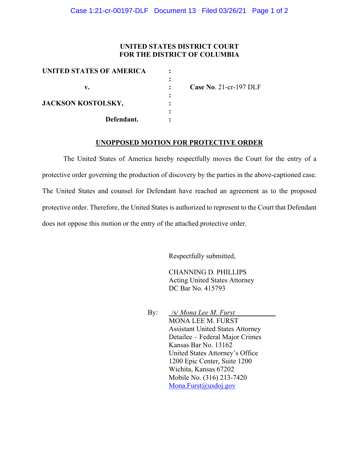#### **UNITED STATES DISTRICT COURT FOR THE DISTRICT OF COLUMBIA**

| UNITED STATES OF AMERICA  |                        |
|---------------------------|------------------------|
|                           |                        |
|                           | Case No. 21-cr-197 DLF |
|                           |                        |
| <b>JACKSON KOSTOLSKY,</b> |                        |
|                           |                        |
| Defendant.                |                        |
|                           |                        |

#### **UNOPPOSED MOTION FOR PROTECTIVE ORDER**

The United States of America hereby respectfully moves the Court for the entry of a protective order governing the production of discovery by the parties in the above-captioned case. The United States and counsel for Defendant have reached an agreement as to the proposed protective order. Therefore, the United States is authorized to represent to the Court that Defendant does not oppose this motion or the entry of the attached protective order.

Respectfully submitted,

CHANNING D. PHILLIPS Acting United States Attorney DC Bar No. 415793

By: /s/ *Mona Lee M. Furst* MONA LEE M. FURST Assistant United States Attorney Detailee – Federal Major Crimes Kansas Bar No. 13162 United States Attorney's Office 1200 Epic Center, Suite 1200 Wichita, Kansas 67202 Mobile No. (316) 213-7420 Mona.Furst@usdoj.gov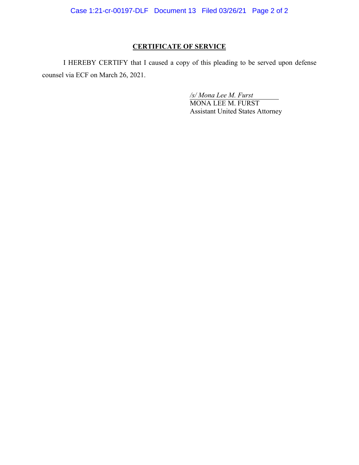Case 1:21-cr-00197-DLF Document 13 Filed 03/26/21 Page 2 of 2

# **CERTIFICATE OF SERVICE**

I HEREBY CERTIFY that I caused a copy of this pleading to be served upon defense counsel via ECF on March 26, 2021.

*/s/ Mona Lee M. Furst*

MONA LEE M. FURST Assistant United States Attorney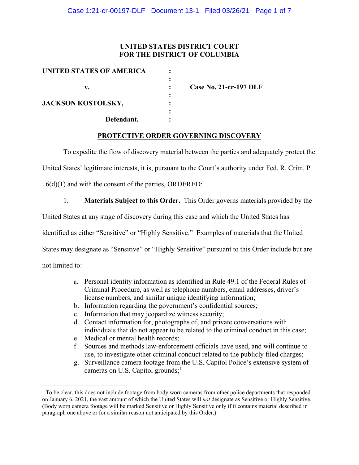### **UNITED STATES DISTRICT COURT FOR THE DISTRICT OF COLUMBIA**

| <b>Case No. 21-cr-197 DLF</b> |
|-------------------------------|
|                               |
|                               |
|                               |
|                               |
|                               |

#### **PROTECTIVE ORDER GOVERNING DISCOVERY**

To expedite the flow of discovery material between the parties and adequately protect the

United States' legitimate interests, it is, pursuant to the Court's authority under Fed. R. Crim. P.

16(d)(1) and with the consent of the parties, ORDERED:

1. **Materials Subject to this Order.** This Order governs materials provided by the

United States at any stage of discovery during this case and which the United States has

identified as either "Sensitive" or "Highly Sensitive." Examples of materials that the United

States may designate as "Sensitive" or "Highly Sensitive" pursuant to this Order include but are

not limited to:

- a. Personal identity information as identified in Rule 49.1 of the Federal Rules of Criminal Procedure, as well as telephone numbers, email addresses, driver's license numbers, and similar unique identifying information;
- b. Information regarding the government's confidential sources;
- c. Information that may jeopardize witness security;
- d. Contact information for, photographs of, and private conversations with individuals that do not appear to be related to the criminal conduct in this case;
- e. Medical or mental health records;
- f. Sources and methods law-enforcement officials have used, and will continue to use, to investigate other criminal conduct related to the publicly filed charges;
- g. Surveillance camera footage from the U.S. Capitol Police's extensive system of cameras on U.S. Capitol grounds;<sup>1</sup>

 $1$  To be clear, this does not include footage from body worn cameras from other police departments that responded on January 6, 2021, the vast amount of which the United States will *not* designate as Sensitive or Highly Sensitive. (Body worn camera footage will be marked Sensitive or Highly Sensitive only if it contains material described in paragraph one above or for a similar reason not anticipated by this Order.)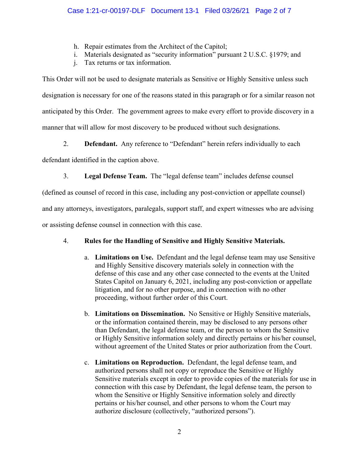- h. Repair estimates from the Architect of the Capitol;
- i. Materials designated as "security information" pursuant 2 U.S.C. §1979; and
- j. Tax returns or tax information.

This Order will not be used to designate materials as Sensitive or Highly Sensitive unless such designation is necessary for one of the reasons stated in this paragraph or for a similar reason not anticipated by this Order. The government agrees to make every effort to provide discovery in a manner that will allow for most discovery to be produced without such designations.

2. **Defendant.** Any reference to "Defendant" herein refers individually to each

defendant identified in the caption above.

3. **Legal Defense Team.** The "legal defense team" includes defense counsel

(defined as counsel of record in this case, including any post-conviction or appellate counsel)

and any attorneys, investigators, paralegals, support staff, and expert witnesses who are advising

or assisting defense counsel in connection with this case.

# 4. **Rules for the Handling of Sensitive and Highly Sensitive Materials.**

- a. **Limitations on Use.** Defendant and the legal defense team may use Sensitive and Highly Sensitive discovery materials solely in connection with the defense of this case and any other case connected to the events at the United States Capitol on January 6, 2021, including any post-conviction or appellate litigation, and for no other purpose, and in connection with no other proceeding, without further order of this Court.
- b. **Limitations on Dissemination.** No Sensitive or Highly Sensitive materials, or the information contained therein, may be disclosed to any persons other than Defendant, the legal defense team, or the person to whom the Sensitive or Highly Sensitive information solely and directly pertains or his/her counsel, without agreement of the United States or prior authorization from the Court.
- c. **Limitations on Reproduction.** Defendant, the legal defense team, and authorized persons shall not copy or reproduce the Sensitive or Highly Sensitive materials except in order to provide copies of the materials for use in connection with this case by Defendant, the legal defense team, the person to whom the Sensitive or Highly Sensitive information solely and directly pertains or his/her counsel, and other persons to whom the Court may authorize disclosure (collectively, "authorized persons").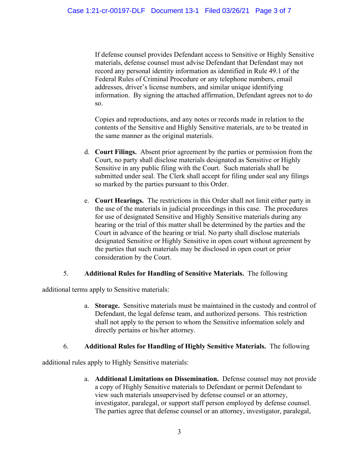If defense counsel provides Defendant access to Sensitive or Highly Sensitive materials, defense counsel must advise Defendant that Defendant may not record any personal identity information as identified in Rule 49.1 of the Federal Rules of Criminal Procedure or any telephone numbers, email addresses, driver's license numbers, and similar unique identifying information. By signing the attached affirmation, Defendant agrees not to do so.

Copies and reproductions, and any notes or records made in relation to the contents of the Sensitive and Highly Sensitive materials, are to be treated in the same manner as the original materials.

- d. **Court Filings.** Absent prior agreement by the parties or permission from the Court, no party shall disclose materials designated as Sensitive or Highly Sensitive in any public filing with the Court. Such materials shall be submitted under seal. The Clerk shall accept for filing under seal any filings so marked by the parties pursuant to this Order.
- e. **Court Hearings.** The restrictions in this Order shall not limit either party in the use of the materials in judicial proceedings in this case. The procedures for use of designated Sensitive and Highly Sensitive materials during any hearing or the trial of this matter shall be determined by the parties and the Court in advance of the hearing or trial. No party shall disclose materials designated Sensitive or Highly Sensitive in open court without agreement by the parties that such materials may be disclosed in open court or prior consideration by the Court.

## 5. **Additional Rules for Handling of Sensitive Materials.** The following

additional terms apply to Sensitive materials:

a. **Storage.** Sensitive materials must be maintained in the custody and control of Defendant, the legal defense team, and authorized persons. This restriction shall not apply to the person to whom the Sensitive information solely and directly pertains or his/her attorney.

## 6. **Additional Rules for Handling of Highly Sensitive Materials.** The following

additional rules apply to Highly Sensitive materials:

a. **Additional Limitations on Dissemination.** Defense counsel may not provide a copy of Highly Sensitive materials to Defendant or permit Defendant to view such materials unsupervised by defense counsel or an attorney, investigator, paralegal, or support staff person employed by defense counsel. The parties agree that defense counsel or an attorney, investigator, paralegal,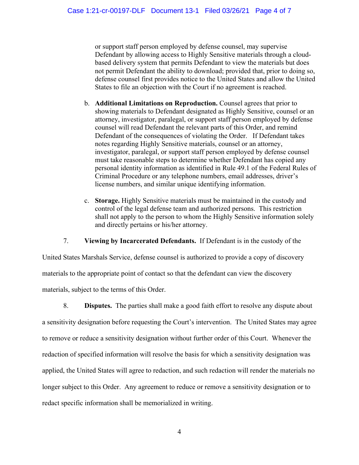or support staff person employed by defense counsel, may supervise Defendant by allowing access to Highly Sensitive materials through a cloudbased delivery system that permits Defendant to view the materials but does not permit Defendant the ability to download; provided that, prior to doing so, defense counsel first provides notice to the United States and allow the United States to file an objection with the Court if no agreement is reached.

- b. **Additional Limitations on Reproduction.** Counsel agrees that prior to showing materials to Defendant designated as Highly Sensitive, counsel or an attorney, investigator, paralegal, or support staff person employed by defense counsel will read Defendant the relevant parts of this Order, and remind Defendant of the consequences of violating the Order. If Defendant takes notes regarding Highly Sensitive materials, counsel or an attorney, investigator, paralegal, or support staff person employed by defense counsel must take reasonable steps to determine whether Defendant has copied any personal identity information as identified in Rule 49.1 of the Federal Rules of Criminal Procedure or any telephone numbers, email addresses, driver's license numbers, and similar unique identifying information.
- c. **Storage.** Highly Sensitive materials must be maintained in the custody and control of the legal defense team and authorized persons. This restriction shall not apply to the person to whom the Highly Sensitive information solely and directly pertains or his/her attorney.

7. **Viewing by Incarcerated Defendants.** If Defendant is in the custody of the

United States Marshals Service, defense counsel is authorized to provide a copy of discovery materials to the appropriate point of contact so that the defendant can view the discovery materials, subject to the terms of this Order.

8. **Disputes.** The parties shall make a good faith effort to resolve any dispute about a sensitivity designation before requesting the Court's intervention. The United States may agree to remove or reduce a sensitivity designation without further order of this Court. Whenever the redaction of specified information will resolve the basis for which a sensitivity designation was applied, the United States will agree to redaction, and such redaction will render the materials no longer subject to this Order. Any agreement to reduce or remove a sensitivity designation or to redact specific information shall be memorialized in writing.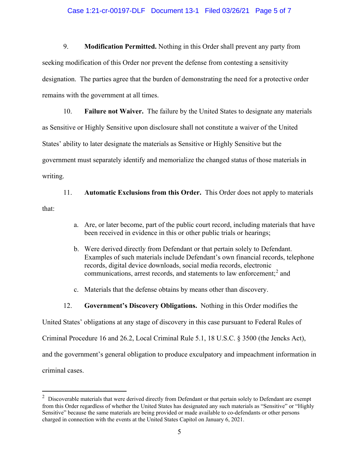#### Case 1:21-cr-00197-DLF Document 13-1 Filed 03/26/21 Page 5 of 7

9. **Modification Permitted.** Nothing in this Order shall prevent any party from seeking modification of this Order nor prevent the defense from contesting a sensitivity designation. The parties agree that the burden of demonstrating the need for a protective order remains with the government at all times.

10. **Failure not Waiver.** The failure by the United States to designate any materials as Sensitive or Highly Sensitive upon disclosure shall not constitute a waiver of the United States' ability to later designate the materials as Sensitive or Highly Sensitive but the government must separately identify and memorialize the changed status of those materials in writing.

11. **Automatic Exclusions from this Order.** This Order does not apply to materials that:

- a. Are, or later become, part of the public court record, including materials that have been received in evidence in this or other public trials or hearings;
- b. Were derived directly from Defendant or that pertain solely to Defendant. Examples of such materials include Defendant's own financial records, telephone records, digital device downloads, social media records, electronic communications, arrest records, and statements to law enforcement; <sup>2</sup> and
- c. Materials that the defense obtains by means other than discovery.
- 12. **Government's Discovery Obligations.** Nothing in this Order modifies the

United States' obligations at any stage of discovery in this case pursuant to Federal Rules of

Criminal Procedure 16 and 26.2, Local Criminal Rule 5.1, 18 U.S.C. § 3500 (the Jencks Act),

and the government's general obligation to produce exculpatory and impeachment information in

criminal cases.

 $2$  Discoverable materials that were derived directly from Defendant or that pertain solely to Defendant are exempt from this Order regardless of whether the United States has designated any such materials as "Sensitive" or "Highly Sensitive" because the same materials are being provided or made available to co-defendants or other persons charged in connection with the events at the United States Capitol on January 6, 2021.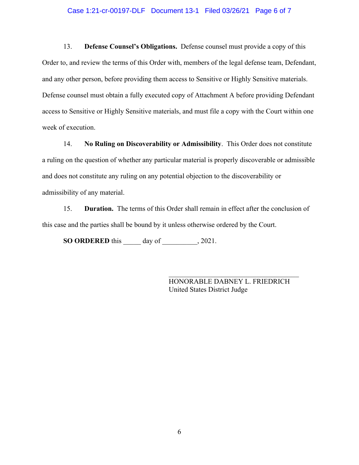#### Case 1:21-cr-00197-DLF Document 13-1 Filed 03/26/21 Page 6 of 7

13. **Defense Counsel's Obligations.** Defense counsel must provide a copy of this Order to, and review the terms of this Order with, members of the legal defense team, Defendant, and any other person, before providing them access to Sensitive or Highly Sensitive materials. Defense counsel must obtain a fully executed copy of Attachment A before providing Defendant access to Sensitive or Highly Sensitive materials, and must file a copy with the Court within one week of execution.

14. **No Ruling on Discoverability or Admissibility**. This Order does not constitute a ruling on the question of whether any particular material is properly discoverable or admissible and does not constitute any ruling on any potential objection to the discoverability or admissibility of any material.

15. **Duration.** The terms of this Order shall remain in effect after the conclusion of this case and the parties shall be bound by it unless otherwise ordered by the Court.

**SO ORDERED** this \_\_\_\_\_ day of \_\_\_\_\_\_\_\_\_\_, 2021.

HONORABLE DABNEY L. FRIEDRICH United States District Judge

\_\_\_\_\_\_\_\_\_\_\_\_\_\_\_\_\_\_\_\_\_\_\_\_\_\_\_\_\_\_\_\_\_\_\_\_\_